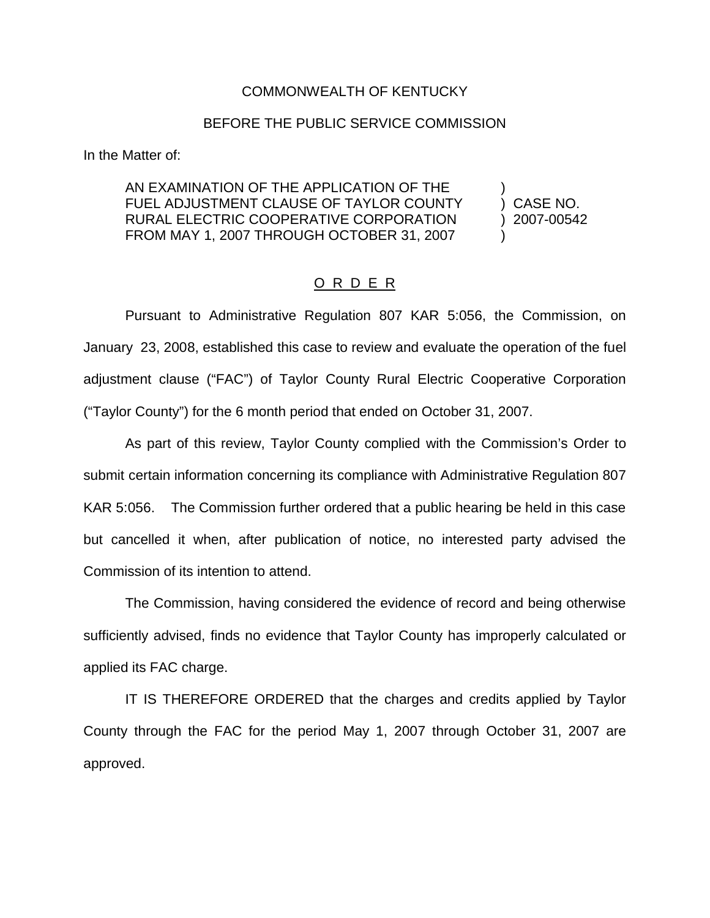## COMMONWEALTH OF KENTUCKY

## BEFORE THE PUBLIC SERVICE COMMISSION

In the Matter of:

## AN EXAMINATION OF THE APPLICATION OF THE FUEL ADJUSTMENT CLAUSE OF TAYLOR COUNTY (CASE NO. RURAL ELECTRIC COOPERATIVE CORPORATION ) 2007-00542 FROM MAY 1, 2007 THROUGH OCTOBER 31, 2007

## O R D E R

Pursuant to Administrative Regulation 807 KAR 5:056, the Commission, on January 23, 2008, established this case to review and evaluate the operation of the fuel adjustment clause ("FAC") of Taylor County Rural Electric Cooperative Corporation ("Taylor County") for the 6 month period that ended on October 31, 2007.

As part of this review, Taylor County complied with the Commission's Order to submit certain information concerning its compliance with Administrative Regulation 807 KAR 5:056. The Commission further ordered that a public hearing be held in this case but cancelled it when, after publication of notice, no interested party advised the Commission of its intention to attend.

The Commission, having considered the evidence of record and being otherwise sufficiently advised, finds no evidence that Taylor County has improperly calculated or applied its FAC charge.

IT IS THEREFORE ORDERED that the charges and credits applied by Taylor County through the FAC for the period May 1, 2007 through October 31, 2007 are approved.